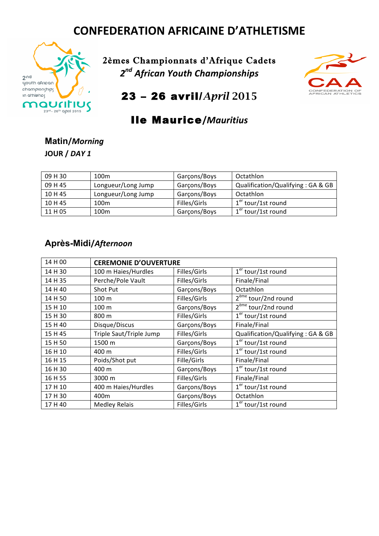# **CONFEDERATION AFRICAINE D'ATHLETISME**



2èmes Championnats d'Afrique Cadets *2nd African Youth Championships*



23 – 26 avril/*April* 2015

### Ile Maurice**/***Mauritius*

#### **Matin/***Morning* **JOUR /** *DAY 1*

| 09 H 30 | 100 <sub>m</sub>   | Garçons/Boys | Octathlon                         |
|---------|--------------------|--------------|-----------------------------------|
| 09 H 45 | Longueur/Long Jump | Garçons/Boys | Qualification/Qualifying: GA & GB |
| 10H45   | Longueur/Long Jump | Garçons/Boys | Octathlon                         |
| 10 H 45 | 100 <sub>m</sub>   | Filles/Girls | $1er$ tour/1st round              |
| 11 H 05 | 100 <sub>m</sub>   | Garçons/Boys | $1er$ tour/1st round              |

#### **Après-Midi/***Afternoon*

| 14 H 00 | <b>CEREMONIE D'OUVERTURE</b> |              |                                   |  |
|---------|------------------------------|--------------|-----------------------------------|--|
| 14 H 30 | 100 m Haies/Hurdles          | Filles/Girls | $1er$ tour/1st round              |  |
| 14 H 35 | Perche/Pole Vault            | Filles/Girls | Finale/Final                      |  |
| 14 H 40 | Shot Put                     | Garçons/Boys | Octathlon                         |  |
| 14 H 50 | 100 m                        | Filles/Girls | 2 <sup>eme</sup> tour/2nd round   |  |
| 15 H 10 | 100 m                        | Garçons/Boys | $2eme$ tour/2nd round             |  |
| 15 H 30 | 800 m                        | Filles/Girls | $1er$ tour/1st round              |  |
| 15 H 40 | Disque/Discus                | Garçons/Boys | Finale/Final                      |  |
| 15 H 45 | Triple Saut/Triple Jump      | Filles/Girls | Qualification/Qualifying: GA & GB |  |
| 15H 50  | 1500 m                       | Garçons/Boys | $1er$ tour/1st round              |  |
| 16 H 10 | 400 m                        | Filles/Girls | $1er$ tour/1st round              |  |
| 16 H 15 | Poids/Shot put               | Fille/Girls  | Finale/Final                      |  |
| 16 H 30 | 400 m                        | Garçons/Boys | $1er$ tour/1st round              |  |
| 16 H 55 | 3000 m                       | Filles/Girls | Finale/Final                      |  |
| 17 H 10 | 400 m Haies/Hurdles          | Garçons/Boys | $1er$ tour/1st round              |  |
| 17H 30  | 400m                         | Garçons/Boys | Octathlon                         |  |
| 17 H 40 | <b>Medley Relais</b>         | Filles/Girls | $1er$ tour/1st round              |  |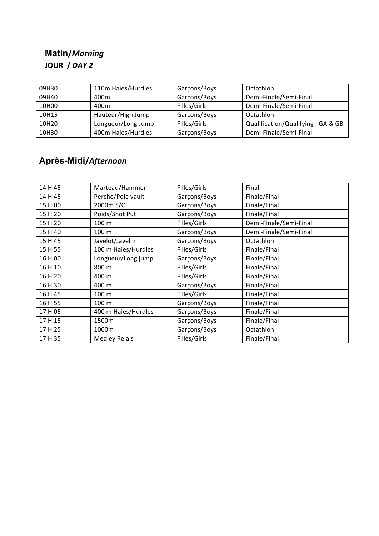### **Matin/***Morning* **JOUR** / DAY 2

| 09H30 | 110m Haies/Hurdles | Garçons/Boys | Octathlon                         |
|-------|--------------------|--------------|-----------------------------------|
| 09H40 | 400m               | Garçons/Boys | Demi-Finale/Semi-Final            |
| 10H00 | 400m               | Filles/Girls | Demi-Finale/Semi-Final            |
| 10H15 | Hauteur/High Jump  | Garçons/Boys | Octathlon                         |
| 10H20 | Longueur/Long Jump | Filles/Girls | Qualification/Qualifying: GA & GB |
| 10H30 | 400m Haies/Hurdles | Garçons/Boys | Demi-Finale/Semi-Final            |

## **Après-Midi/***Afternoon*

| 14 H 45 | Marteau/Hammer       | Filles/Girls                 | Final                  |  |
|---------|----------------------|------------------------------|------------------------|--|
| 14 H 45 | Perche/Pole vault    | Garçons/Boys                 | Finale/Final           |  |
| 15 H 00 | 2000m S/C            | Garçons/Boys                 | Finale/Final           |  |
| 15 H 20 | Poids/Shot Put       | Garçons/Boys                 | Finale/Final           |  |
| 15 H 20 | 100 m                | Filles/Girls                 | Demi-Finale/Semi-Final |  |
| 15 H 40 | 100 m                | Garçons/Boys                 | Demi-Finale/Semi-Final |  |
| 15 H 45 | Javelot/Javelin      | Garçons/Boys                 | Octathlon              |  |
| 15 H 55 | 100 m Haies/Hurdles  | Filles/Girls                 | Finale/Final           |  |
| 16 H 00 | Longueur/Long jump   | Garçons/Boys                 | Finale/Final           |  |
| 16 H 10 | 800 m                | Filles/Girls                 | Finale/Final           |  |
| 16 H 20 | 400 m                | Filles/Girls                 | Finale/Final           |  |
| 16 H 30 | 400 m                | Garçons/Boys                 | Finale/Final           |  |
| 16 H 45 | 100 m                | Filles/Girls                 | Finale/Final           |  |
| 16 H 55 | 100 <sub>m</sub>     | Garçons/Boys<br>Finale/Final |                        |  |
| 17 H 05 | 400 m Haies/Hurdles  | Garçons/Boys                 | Finale/Final           |  |
| 17 H 15 | 1500m                | Garçons/Boys                 | Finale/Final           |  |
| 17 H 25 | 1000m                | Garçons/Boys                 | Octathlon              |  |
| 17 H 35 | <b>Medley Relais</b> | Filles/Girls                 | Finale/Final           |  |